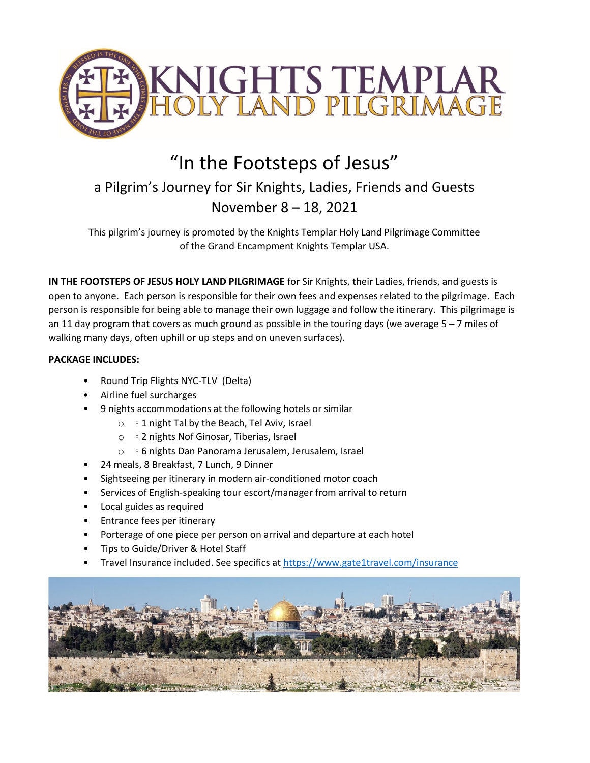

# "In the Footsteps of Jesus"

# a Pilgrim's Journey for Sir Knights, Ladies, Friends and Guests November 8 – 18, 2021

This pilgrim's journey is promoted by the Knights Templar Holy Land Pilgrimage Committee of the Grand Encampment Knights Templar USA.

**IN THE FOOTSTEPS OF JESUS HOLY LAND PILGRIMAGE** for Sir Knights, their Ladies, friends, and guests is open to anyone. Each person is responsible for their own fees and expenses related to the pilgrimage. Each person is responsible for being able to manage their own luggage and follow the itinerary. This pilgrimage is an 11 day program that covers as much ground as possible in the touring days (we average  $5 - 7$  miles of walking many days, often uphill or up steps and on uneven surfaces).

## **PACKAGE INCLUDES:**

- Round Trip Flights NYC-TLV (Delta)
- Airline fuel surcharges
- 9 nights accommodations at the following hotels or similar
	- o 1 night Tal by the Beach, Tel Aviv, Israel
	- o 2 nights Nof Ginosar, Tiberias, Israel
	- o 6 nights Dan Panorama Jerusalem, Jerusalem, Israel
- 24 meals, 8 Breakfast, 7 Lunch, 9 Dinner
- Sightseeing per itinerary in modern air-conditioned motor coach
- Services of English-speaking tour escort/manager from arrival to return
- Local guides as required
- Entrance fees per itinerary
- Porterage of one piece per person on arrival and departure at each hotel
- Tips to Guide/Driver & Hotel Staff
- Travel Insurance included. See specifics at<https://www.gate1travel.com/insurance>

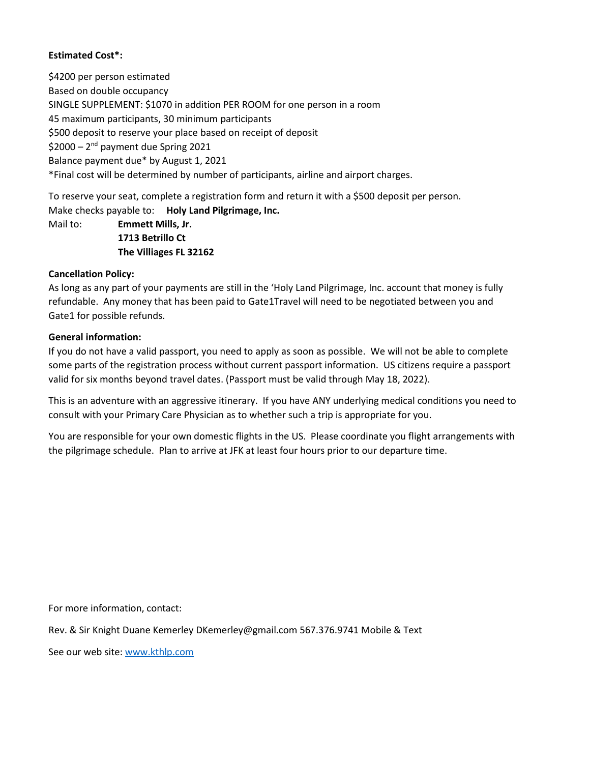### **Estimated Cost\*:**

\$4200 per person estimated Based on double occupancy SINGLE SUPPLEMENT: \$1070 in addition PER ROOM for one person in a room 45 maximum participants, 30 minimum participants \$500 deposit to reserve your place based on receipt of deposit \$2000 - 2<sup>nd</sup> payment due Spring 2021 Balance payment due\* by August 1, 2021 \*Final cost will be determined by number of participants, airline and airport charges.

To reserve your seat, complete a registration form and return it with a \$500 deposit per person. Make checks payable to: **Holy Land Pilgrimage, Inc.** Mail to: **Emmett Mills, Jr. 1713 Betrillo Ct The Villiages FL 32162**

#### **Cancellation Policy:**

As long as any part of your payments are still in the 'Holy Land Pilgrimage, Inc. account that money is fully refundable. Any money that has been paid to Gate1Travel will need to be negotiated between you and Gate1 for possible refunds.

#### **General information:**

If you do not have a valid passport, you need to apply as soon as possible. We will not be able to complete some parts of the registration process without current passport information. US citizens require a passport valid for six months beyond travel dates. (Passport must be valid through May 18, 2022).

This is an adventure with an aggressive itinerary. If you have ANY underlying medical conditions you need to consult with your Primary Care Physician as to whether such a trip is appropriate for you.

You are responsible for your own domestic flights in the US. Please coordinate you flight arrangements with the pilgrimage schedule. Plan to arrive at JFK at least four hours prior to our departure time.

For more information, contact:

Rev. & Sir Knight Duane Kemerley DKemerley@gmail.com 567.376.9741 Mobile & Text

See our web site: [www.kthlp.com](http://www.kthlp.com/)